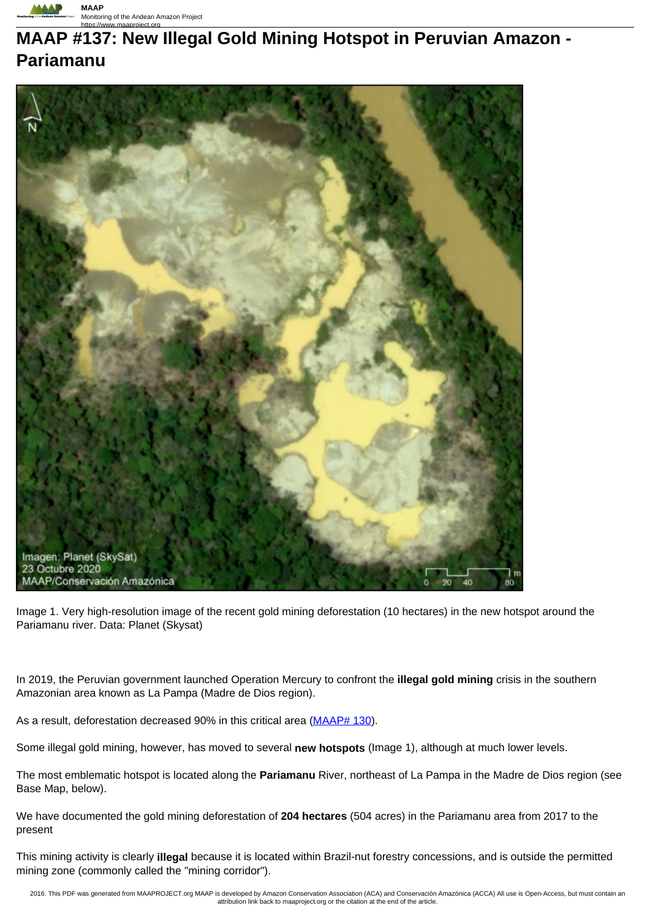

# **MAAP #137: New Illegal Gold Mining Hotspot in Peruvian Amazon - Pariamanu**



Image 1. Very high-resolution image of the recent gold mining deforestation (10 hectares) in the new hotspot around the Pariamanu river. Data: Planet (Skysat)

In 2019, the Peruvian government launched Operation Mercury to confront the **illegal gold mining** crisis in the southern Amazonian area known as La Pampa (Madre de Dios region).

As a result, deforestation decreased 90% in this critical area (MAAP# 130).

Some illegal gold mining, however, has moved to several **new hotspots** (Image 1), although at much lower levels.

The most emblematic hotspot is located along the **Pariamanu** River, northeast of La Pampa in the Madre de Dios region (see Base Map, below).

We have documented the gold mining deforestation of **204 hectares** (504 acres) in the Pariamanu area from 2017 to the present

This mining activity is clearly **illegal** because it is located within Brazil-nut forestry concessions, and is outside the permitted mining zone (commonly called the "mining corridor").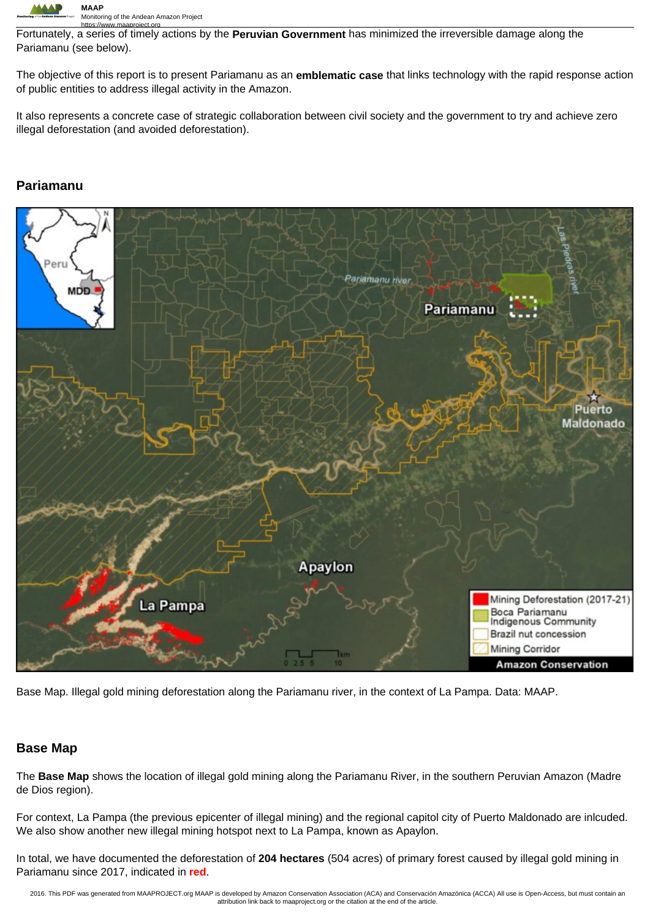

https://www.maaproject.org Fortunately, a series of timely actions by the **Peruvian Government** has minimized the irreversible damage along the Pariamanu (see below).

The objective of this report is to present Pariamanu as an **emblematic case** that links technology with the rapid response action of public entities to address illegal activity in the Amazon.

It also represents a concrete case of strategic collaboration between civil society and the government to try and achieve zero illegal deforestation (and avoided deforestation).

### **Pariamanu**



Base Map. Illegal gold mining deforestation along the Pariamanu river, in the context of La Pampa. Data: MAAP.

### **Base Map**

The **Base Map** shows the location of illegal gold mining along the Pariamanu River, in the southern Peruvian Amazon (Madre de Dios region).

For context, La Pampa (the previous epicenter of illegal mining) and the regional capitol city of Puerto Maldonado are inlcuded. We also show another new illegal mining hotspot next to La Pampa, known as Apaylon.

In total, we have documented the deforestation of **204 hectares** (504 acres) of primary forest caused by illegal gold mining in Pariamanu since 2017, indicated in **red**.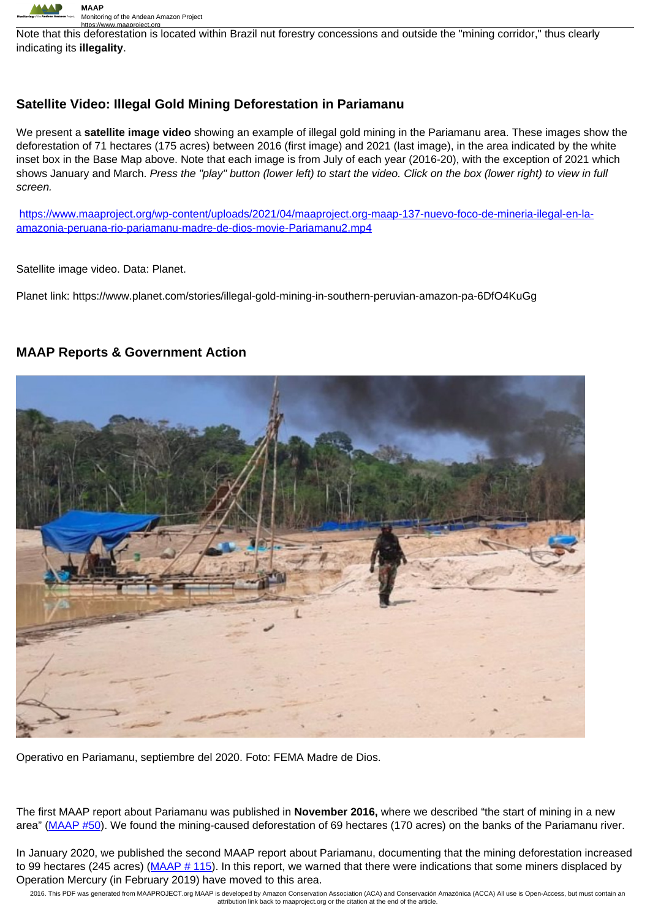

https://www.maaproject.org<br>Note that this deforestation is located within Brazil nut forestry concessions and outside the "mining corridor," thus clearly indicating its **illegality**.

## **Satellite Video: Illegal Gold Mining Deforestation in Pariamanu**

We present a **satellite image video** showing an example of illegal gold mining in the Pariamanu area. These images show the deforestation of 71 hectares (175 acres) between 2016 (first image) and 2021 (last image), in the area indicated by the white inset box in the Base Map above. Note that each image is from July of each year (2016-20), with the exception of 2021 which shows January and March. Press the "play" button (lower left) to start the video. Click on the box (lower right) to view in full screen.

https://www.maaproject.org/wp-content/uploads/2021/04/maaproject.org-maap-137-nuevo-foco-de-mineria-ilegal-en-laamazonia-peruana-rio-pariamanu-madre-de-dios-movie-Pariamanu2.mp4

Satellite image video. Data: Planet.

Planet link: https://www.planet.com/stories/illegal-gold-mining-in-southern-peruvian-amazon-pa-6DfO4KuGg

#### **MAAP Reports & Government Action**



Operativo en Pariamanu, septiembre del 2020. Foto: FEMA Madre de Dios.

The first MAAP report about Pariamanu was published in **November 2016,** where we described "the start of mining in a new area" (MAAP #50). We found the mining-caused deforestation of 69 hectares (170 acres) on the banks of the Pariamanu river.

In January 2020, we published the second MAAP report about Pariamanu, documenting that the mining deforestation increased to 99 hectares (245 acres) (MAAP # 115). In this report, we warned that there were indications that some miners displaced by Operation Mercury (in February 2019) have moved to this area.

2016. This PDF was generated from MAAPROJECT.org MAAP is developed by Amazon Conservation Association (ACA) and Conservación Amazónica (ACCA) All use is Open-Access, but must contain an attribution link back to maaproject.org or the citation at the end of the article.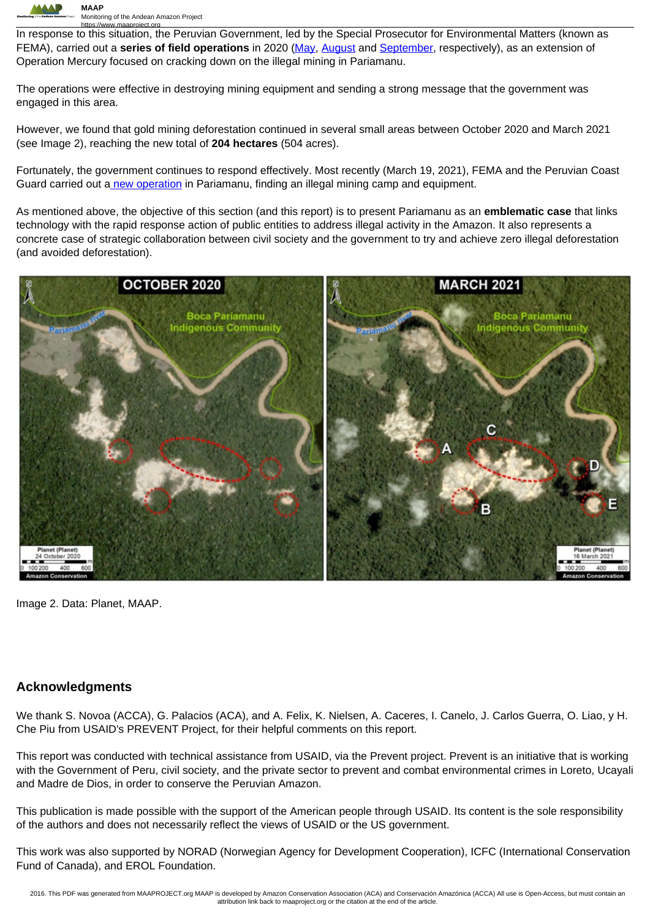

https://www.maaproject.org<br>In response to this situation, the Peruvian Government, led by the Special Prosecutor for Environmental Matters (known as FEMA), carried out a **series of field operations** in 2020 (May, August and September, respectively), as an extension of Operation Mercury focused on cracking down on the illegal mining in Pariamanu.

The operations were effective in destroying mining equipment and sending a strong message that the government was engaged in this area.

However, we found that gold mining deforestation continued in several small areas between October 2020 and March 2021 (see Image 2), reaching the new total of **204 hectares** (504 acres).

Fortunately, the government continues to respond effectively. Most recently (March 19, 2021), FEMA and the Peruvian Coast Guard carried out a new operation in Pariamanu, finding an illegal mining camp and equipment.

As mentioned above, the objective of this section (and this report) is to present Pariamanu as an **emblematic case** that links technology with the rapid response action of public entities to address illegal activity in the Amazon. It also represents a concrete case of strategic collaboration between civil society and the government to try and achieve zero illegal deforestation (and avoided deforestation).



Image 2. Data: Planet, MAAP.

#### **Acknowledgments**

We thank S. Novoa (ACCA), G. Palacios (ACA), and A. Felix, K. Nielsen, A. Caceres, I. Canelo, J. Carlos Guerra, O. Liao, y H. Che Piu from USAID's PREVENT Project, for their helpful comments on this report.

This report was conducted with technical assistance from USAID, via the Prevent project. Prevent is an initiative that is working with the Government of Peru, civil society, and the private sector to prevent and combat environmental crimes in Loreto, Ucayali and Madre de Dios, in order to conserve the Peruvian Amazon.

This publication is made possible with the support of the American people through USAID. Its content is the sole responsibility of the authors and does not necessarily reflect the views of USAID or the US government.

This work was also supported by NORAD (Norwegian Agency for Development Cooperation), ICFC (International Conservation Fund of Canada), and EROL Foundation.